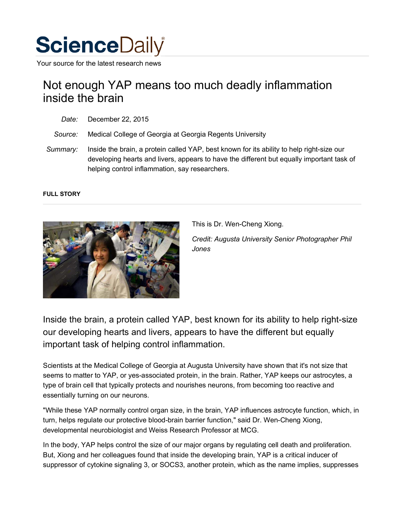

Your source for the latest research news

# Not enough YAP means too much deadly inflammation inside the brain

- *Date:* December 22, 2015
- *Source:* Medical College of Georgia at Georgia Regents University
- *Summary:* Inside the brain, a protein called YAP, best known for its ability to help right-size our developing hearts and livers, appears to have the different but equally important task of helping control inflammation, say researchers.

### **FULL STORY**



This is Dr. Wen-Cheng Xiong.

*Credit: Augusta University Senior Photographer Phil Jones*

Inside the brain, a protein called YAP, best known for its ability to help right-size our developing hearts and livers, appears to have the different but equally important task of helping control inflammation.

Scientists at the Medical College of Georgia at Augusta University have shown that it's not size that seems to matter to YAP, or yes-associated protein, in the brain. Rather, YAP keeps our astrocytes, a type of brain cell that typically protects and nourishes neurons, from becoming too reactive and essentially turning on our neurons.

"While these YAP normally control organ size, in the brain, YAP influences astrocyte function, which, in turn, helps regulate our protective blood-brain barrier function," said Dr. Wen-Cheng Xiong, developmental neurobiologist and Weiss Research Professor at MCG.

In the body, YAP helps control the size of our major organs by regulating cell death and proliferation. But, Xiong and her colleagues found that inside the developing brain, YAP is a critical inducer of suppressor of cytokine signaling 3, or SOCS3, another protein, which as the name implies, suppresses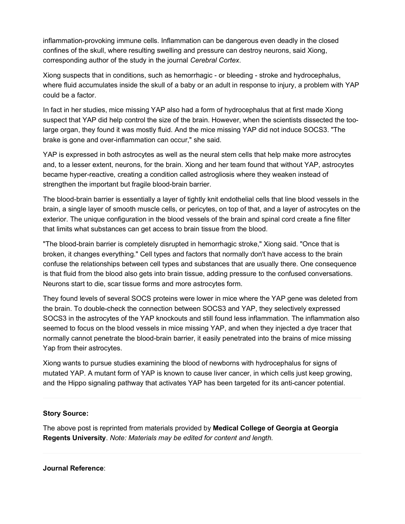inflammation-provoking immune cells. Inflammation can be dangerous even deadly in the closed confines of the skull, where resulting swelling and pressure can destroy neurons, said Xiong, corresponding author of the study in the journal *Cerebral Cortex*.

Xiong suspects that in conditions, such as hemorrhagic - or bleeding - stroke and hydrocephalus, where fluid accumulates inside the skull of a baby or an adult in response to injury, a problem with YAP could be a factor.

In fact in her studies, mice missing YAP also had a form of hydrocephalus that at first made Xiong suspect that YAP did help control the size of the brain. However, when the scientists dissected the toolarge organ, they found it was mostly fluid. And the mice missing YAP did not induce SOCS3. "The brake is gone and over-inflammation can occur," she said.

YAP is expressed in both astrocytes as well as the neural stem cells that help make more astrocytes and, to a lesser extent, neurons, for the brain. Xiong and her team found that without YAP, astrocytes became hyper-reactive, creating a condition called astrogliosis where they weaken instead of strengthen the important but fragile blood-brain barrier.

The blood-brain barrier is essentially a layer of tightly knit endothelial cells that line blood vessels in the brain, a single layer of smooth muscle cells, or pericytes, on top of that, and a layer of astrocytes on the exterior. The unique configuration in the blood vessels of the brain and spinal cord create a fine filter that limits what substances can get access to brain tissue from the blood.

"The blood-brain barrier is completely disrupted in hemorrhagic stroke," Xiong said. "Once that is broken, it changes everything." Cell types and factors that normally don't have access to the brain confuse the relationships between cell types and substances that are usually there. One consequence is that fluid from the blood also gets into brain tissue, adding pressure to the confused conversations. Neurons start to die, scar tissue forms and more astrocytes form.

They found levels of several SOCS proteins were lower in mice where the YAP gene was deleted from the brain. To double-check the connection between SOCS3 and YAP, they selectively expressed SOCS3 in the astrocytes of the YAP knockouts and still found less inflammation. The inflammation also seemed to focus on the blood vessels in mice missing YAP, and when they injected a dye tracer that normally cannot penetrate the blood-brain barrier, it easily penetrated into the brains of mice missing Yap from their astrocytes.

Xiong wants to pursue studies examining the blood of newborns with hydrocephalus for signs of mutated YAP. A mutant form of YAP is known to cause liver cancer, in which cells just keep growing, and the Hippo signaling pathway that activates YAP has been targeted for its anti-cancer potential.

## **Story Source:**

The above post is reprinted from materials provided by **Medical College of Georgia at Georgia Regents University**. *Note: Materials may be edited for content and length.*

#### **Journal Reference**: